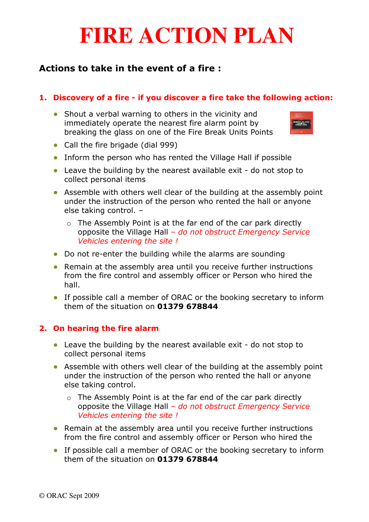# **FIRE ACTION PLAN**

# Actions to take in the event of a fire :

#### 1. Discovery of a fire - if you discover a fire take the following action:

• Shout a verbal warning to others in the vicinity and immediately operate the nearest fire alarm point by breaking the glass on one of the Fire Break Units Points



- Call the fire brigade (dial 999)
- Inform the person who has rented the Village Hall if possible
- Leave the building by the nearest available exit do not stop to collect personal items
- Assemble with others well clear of the building at the assembly point under the instruction of the person who rented the hall or anyone else taking control. –
	- $\circ$  The Assembly Point is at the far end of the car park directly opposite the Village Hall – do not obstruct Emergency Service Vehicles entering the site !
- Do not re-enter the building while the alarms are sounding
- Remain at the assembly area until you receive further instructions from the fire control and assembly officer or Person who hired the hall.
- If possible call a member of ORAC or the booking secretary to inform them of the situation on 01379 678844

## 2. On hearing the fire alarm

- Leave the building by the nearest available exit do not stop to collect personal items
- Assemble with others well clear of the building at the assembly point under the instruction of the person who rented the hall or anyone else taking control.
	- o The Assembly Point is at the far end of the car park directly opposite the Village Hall – do not obstruct Emergency Service Vehicles entering the site !
- Remain at the assembly area until you receive further instructions from the fire control and assembly officer or Person who hired the
- If possible call a member of ORAC or the booking secretary to inform them of the situation on 01379 678844